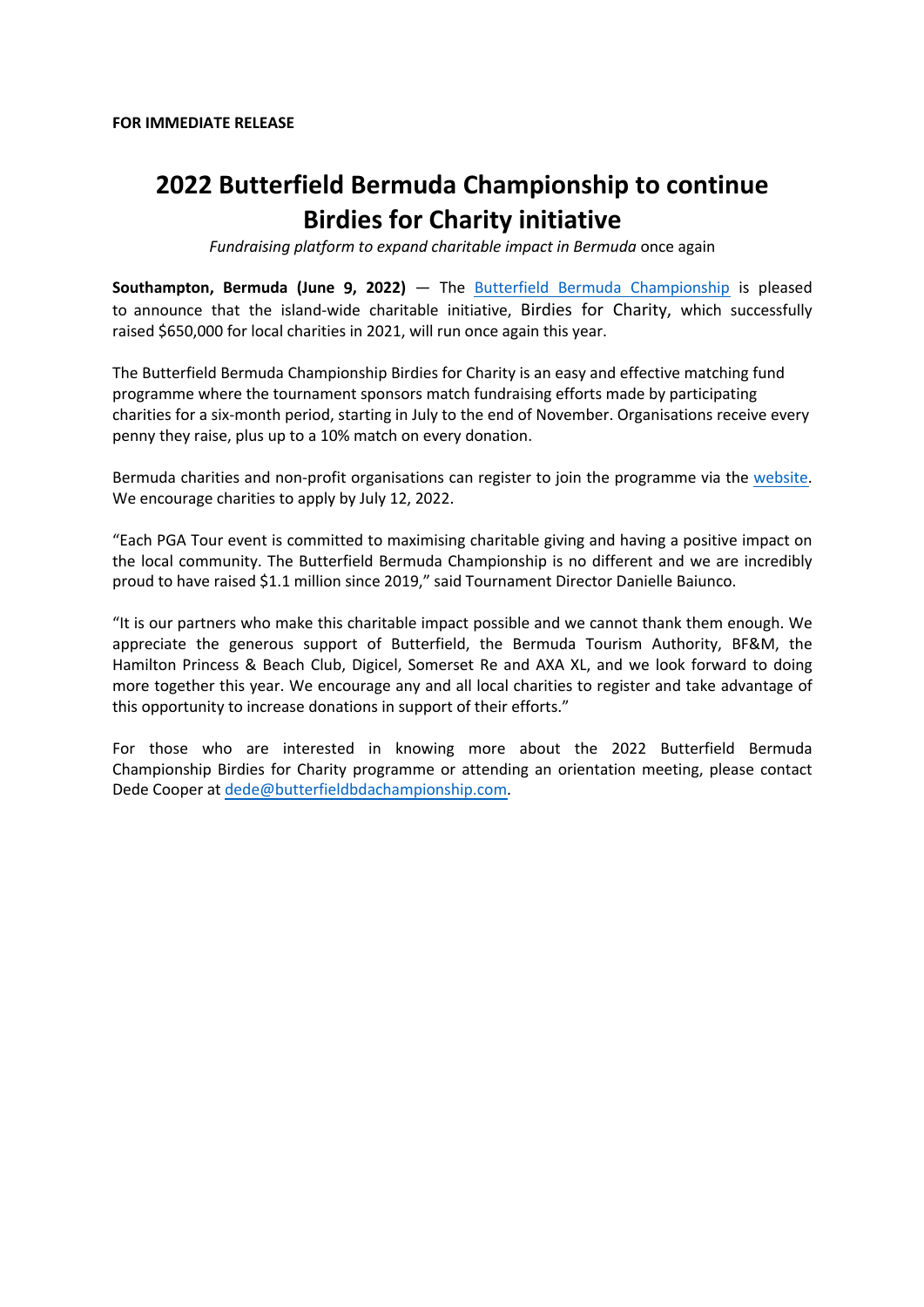# **2022 Butterfield Bermuda Championship to continue Birdies for Charity initiative**

*Fundraising platform to expand charitable impact in Bermuda* once again

**Southampton, Bermuda (June** 9**, 2022)** — The Butterfield Bermuda Championship is pleased to announce that the island-wide charitable initiative, Birdies for Charity, which successfully raised \$650,000 for local charities in 2021, will run once again this year.

The Butterfield Bermuda Championship Birdies for Charity is an easy and effective matching fund programme where the tournament sponsors match fundraising efforts made by participating charities for a six-month period, starting in July to the end of November. Organisations receive every penny they raise, plus up to a 10% match on every donation.

Bermuda charities and non-profit organisations can register to join the programme via the website. We encourage charities to apply by July 12, 2022.

"Each PGA Tour event is committed to maximising charitable giving and having a positive impact on the local community. The Butterfield Bermuda Championship is no different and we are incredibly proud to have raised \$1.1 million since 2019," said Tournament Director Danielle Baiunco.

"It is our partners who make this charitable impact possible and we cannot thank them enough. We appreciate the generous support of Butterfield, the Bermuda Tourism Authority, BF&M, the Hamilton Princess & Beach Club, Digicel, Somerset Re and AXA XL, and we look forward to doing more together this year. We encourage any and all local charities to register and take advantage of this opportunity to increase donations in support of their efforts."

For those who are interested in knowing more about the 2022 Butterfield Bermuda Championship Birdies for Charity programme or attending an orientation meeting, please contact Dede Cooper at dede@butterfieldbdachampionship.com.